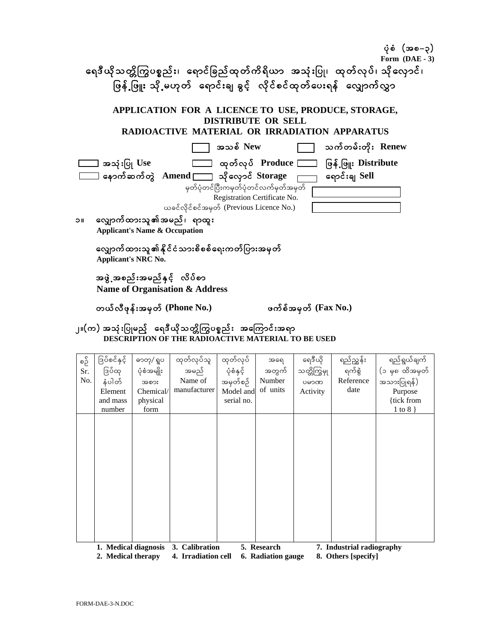| ပုံစံ $(a$ ခစ $-$ ၃)                                                                                          |
|---------------------------------------------------------------------------------------------------------------|
| Form $(DAE - 3)$                                                                                              |
| ရေဒီယိုသတ္တိကြွပစ္စည်း၊ ရောင်ခြည်ထုတ်ကိရိယာ အသုံးပြု၊ ထုတ်လုပ်၊ သိုလှောင်၊                                    |
| ဖြနို့ဖြူး သို့မဟုတ် ရောင်းချ ခွင့် လိုင်စင်ထုတ်ပေးရန် လျှောက်လွှာ                                            |
| APPLICATION FOR A LICENCE TO USE, PRODUCE, STORAGE,<br><b>DISTRIBUTE OR SELL</b>                              |
| RADIOACTIVE MATERIAL OR IRRADIATION APPARATUS                                                                 |
| အသစ် New<br>သက်တမ်းတိုး Renew                                                                                 |
| ကားသား ထုတ်လုပ် Produce [<br>ဖြန့် ဖြူး Distribute<br>— အသုံးပြု Use                                          |
| $\Box$ နောက်ဆက်တွဲ $\,$ Amend $\, \Box \,$ သိုလှောင် $\,$ Storage $\,$<br>ရောင်းချ Sell                       |
| မှတ်ပုံတင်ပြီးကမှတ်ပုံတင်လက်မှတ်အမှတ်                                                                         |
| Registration Certificate No.                                                                                  |
| ယခင်လိုင်စင်အမှတ် (Previous Licence No.)                                                                      |
| လျှောက်ထားသူ၏အမည်၊ ရာထူး<br>$\blacksquare$<br><b>Applicant's Name &amp; Occupation</b>                        |
| လျှောက်ထားသူ၏နိုင်ငံသားစိစစ်ရေးကတ်ပြားအမှတ်<br><b>Applicant's NRC No.</b>                                     |
| အဖွဲ့ အစည်းအမည်နှင့် လိပ်စာ<br>Name of Organisation & Address                                                 |
| တယ်လီဖုန်းအမှတ် (Phone No.)<br>ဖက်စိအမှတ် $(Fax No.)$                                                         |
| ၂။(က) အသုံးပြုမည့် ရေဒီယိုသတ္တိကြွပစ္စည်း အကြောင်းအရာ<br>THE RADIOACTIVE M<br>AL TO BE USED<br>DESCRIPTION OF |

| စဥိ<br>Sr.<br>No. | ဒြပ်စင်နှင့်<br>ဒြပ်ထု<br>နံပါတ်<br>Element<br>and mass<br>number | ဓာတု/ ရူပ<br>ပုံစံအမျိုး<br>အစား<br>Chemical/<br>physical<br>form | ထုတ်လုပ်သူ<br>အမည်<br>Name of<br>manufacturer | ထုတ်လုပ်<br>ပုံစံနှင့်<br>အမှတ်စဉ်<br>Model and<br>serial no. | အရေ<br>အတွက်<br>Number<br>of units | ရေဒီယို<br>သတ္တိကြွမှု<br>ပမာဏ<br>Activity | ရည်ညွှန်း<br>ရက်စွဲ<br>Reference<br>date         | ရည်ရွယ်ချက်<br>(၁ မှ၈ ထိအမှတ်<br>အသားပြုရန်)<br>Purpose<br>{tick from<br>$1 \text{ to } 8$ } |
|-------------------|-------------------------------------------------------------------|-------------------------------------------------------------------|-----------------------------------------------|---------------------------------------------------------------|------------------------------------|--------------------------------------------|--------------------------------------------------|----------------------------------------------------------------------------------------------|
|                   |                                                                   |                                                                   |                                               |                                                               |                                    |                                            |                                                  |                                                                                              |
|                   |                                                                   |                                                                   |                                               |                                                               |                                    |                                            |                                                  |                                                                                              |
|                   | 1. Medical diagnosis<br>2. Medical therapy                        |                                                                   | 3. Calibration<br>4. Irradiation cell         |                                                               | 5. Research<br>6. Radiation gauge  |                                            | 7. Industrial radiography<br>8. Others [specify] |                                                                                              |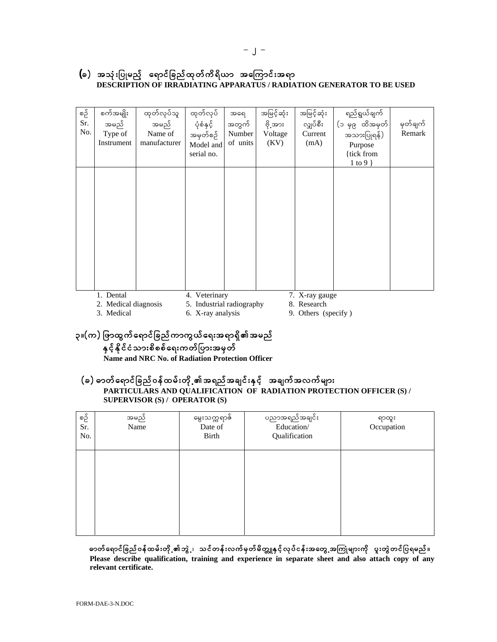## (ခ) အသုံးပြုမည့် ရောင်ခြည်ထုတ်ကိရိယာ အကြောင်းအရာ DESCRIPTION OF IRRADIATING APPARATUS / RADIATION GENERATOR TO BE USED

| စဉ်<br>Sr.<br>No. | စက်အမျိုး<br>အမည်<br>Type of<br>Instrument | ထုတ်လုပ်သူ<br>အမည်<br>Name of<br>manufacturer | ထုတ်လုပ်<br>ပုံစံနှင့်<br>အမှတ်စဉ်<br>Model and<br>serial no. | အရေ<br>အတွက်<br>Number<br>of units | အမြင့်ဆုံး<br>ဗို့အား<br>Voltage<br>(KV) | အမြင့်ဆုံး<br>လျှပ်စီး<br>Current<br>(mA) | ရည်ရွယ်ချက်<br>(၁ မှ၉ ထိအမှတ်<br>အသားပြုရန်)<br>Purpose<br>{tick from<br>1 to 9 $\}$ | မှတ်ချက်<br>Remark |
|-------------------|--------------------------------------------|-----------------------------------------------|---------------------------------------------------------------|------------------------------------|------------------------------------------|-------------------------------------------|--------------------------------------------------------------------------------------|--------------------|
|                   |                                            |                                               |                                                               |                                    |                                          |                                           |                                                                                      |                    |
|                   |                                            |                                               |                                                               |                                    |                                          |                                           |                                                                                      |                    |
|                   | 1. Dental                                  |                                               | 4. Veterinary                                                 |                                    |                                          | 7. X-ray gauge                            |                                                                                      |                    |

1. Dental

7. X-ray gauge

2. Medical diagnosis 3. Medical

5. Industrial radiography 6. X-ray analysis

8. Research

9. Others (specify)

# ၃။(က) ဖြာထွက်ရောင်ခြည်ကာကွယ်ရေးအရာရှိ၏အမည် နှင့်နိုင်ငံသားစိစစ်ရေးကတ်ပြားအမှတ်

Name and NRC No. of Radiation Protection Officer

## (ခ) ဓာတ်ရောင်ခြည်ဝန်ထမ်းတို့ ၏အရည်အချင်းနှင့် အချက်အလက်များ PARTICULARS AND QUALIFICATION OF RADIATION PROTECTION OFFICER (S) / **SUPERVISOR (S) / OPERATOR (S)**

| စဉ်<br>Sr.<br>No. | အမည်<br>Name | မွေးသက္ကရာဇ်<br>Date of<br>Birth | ပညာအရည်အချင်း<br>Education/<br>Qualification | ရာထူး<br>Occupation |
|-------------------|--------------|----------------------------------|----------------------------------------------|---------------------|
|                   |              |                                  |                                              |                     |
|                   |              |                                  |                                              |                     |

ဓာတ်ရောင်ခြည်ဝန်ထမ်းတို့ ၏ဘွဲ့ ၊ သင်တန်းလက်မှတ်မိတ္တူနှင့်လုပ်ငန်းအတွေ့ အကြုံများကို ပူးတွဲတင်ပြရမည် ။ Please describe qualification, training and experience in separate sheet and also attach copy of any relevant certificate.